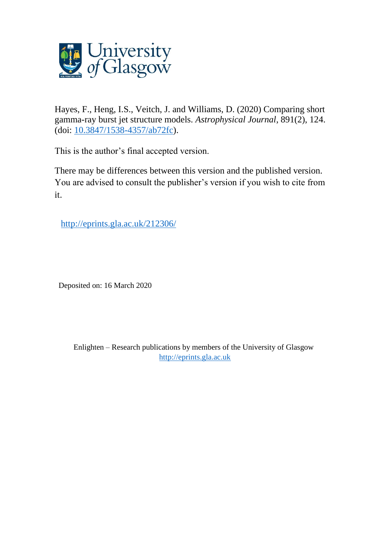

Hayes, F., Heng, I.S., Veitch, J. and Williams, D. (2020) Comparing short gamma-ray burst jet structure models. *Astrophysical Journal*, 891(2), 124. (doi: [10.3847/1538-4357/ab72fc\)](http://dx.doi.org/10.3847/1538-4357/ab72fc).

This is the author's final accepted version.

There may be differences between this version and the published version. You are advised to consult the publisher's version if you wish to cite from it.

<http://eprints.gla.ac.uk/212306/>

Deposited on: 16 March 2020

Enlighten – Research publications by members of the University of Glasgow [http://eprints.gla.ac.uk](http://eprints.gla.ac.uk/)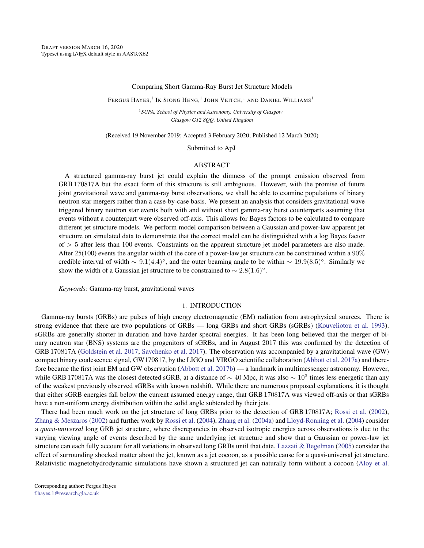## Comparing Short Gamma-Ray Burst Jet Structure Models

Fergus Hayes, $^1$  Ik Siong Heng, $^1$  John Veitch, $^1$  and Daniel Williams $^1$ 

<sup>1</sup>*SUPA, School of Physics and Astronomy, University of Glasgow Glasgow G12 8QQ, United Kingdom*

(Received 19 November 2019; Accepted 3 February 2020; Published 12 March 2020)

Submitted to ApJ

## ABSTRACT

A structured gamma-ray burst jet could explain the dimness of the prompt emission observed from GRB170817A but the exact form of this structure is still ambiguous. However, with the promise of future joint gravitational wave and gamma-ray burst observations, we shall be able to examine populations of binary neutron star mergers rather than a case-by-case basis. We present an analysis that considers gravitational wave triggered binary neutron star events both with and without short gamma-ray burst counterparts assuming that events without a counterpart were observed off-axis. This allows for Bayes factors to be calculated to compare different jet structure models. We perform model comparison between a Gaussian and power-law apparent jet structure on simulated data to demonstrate that the correct model can be distinguished with a log Bayes factor  $\sigma$   $>$  5 after less than 100 events. Constraints on the apparent structure jet model parameters are also made. After 25(100) events the angular width of the core of a power-law jet structure can be constrained within a  $90\%$ credible interval of width  $\sim 9.1(4.4)^\circ$ , and the outer beaming angle to be within  $\sim 19.9(8.5)^\circ$ . Similarly we show the width of a Gaussian jet structure to be constrained to  $\sim 2.8(1.6)^\circ$ .

*Keywords:* Gamma-ray burst, gravitational waves

### 1. INTRODUCTION

Gamma-ray bursts (GRBs) are pulses of high energy electromagnetic (EM) radiation from astrophysical sources. There is strong evidence that there are two populations of GRBs — long GRBs and short GRBs (sGRBs) [\(Kouveliotou et al.](#page-9-0) [1993\)](#page-9-0). sGRBs are generally shorter in duration and have harder spectral energies. It has been long believed that the merger of binary neutron star (BNS) systems are the progenitors of sGRBs, and in August 2017 this was confirmed by the detection of GRB170817A [\(Goldstein et al.](#page-9-1) [2017;](#page-9-1) [Savchenko et al.](#page-10-0) [2017\)](#page-10-0). The observation was accompanied by a gravitational wave (GW) compact binary coalescence signal, GW170817, by the LIGO and VIRGO scientific collaboration [\(Abbott et al.](#page-9-2) [2017a\)](#page-9-2) and therefore became the first joint EM and GW observation [\(Abbott et al.](#page-9-3) [2017b\)](#page-9-3) — a landmark in multimessenger astronomy. However, while GRB 170817A was the closest detected sGRB, at a distance of  $\sim 40$  Mpc, it was also  $\sim 10^3$  times less energetic than any of the weakest previously observed sGRBs with known redshift. While there are numerous proposed explanations, it is thought that either sGRB energies fall below the current assumed energy range, that GRB 170817A was viewed off-axis or that sGRBs have a non-uniform energy distribution within the solid angle subtended by their jets.

There had been much work on the jet structure of long GRBs prior to the detection of GRB 170817A; [Rossi et al.](#page-10-1) [\(2002\)](#page-10-1), [Zhang & Meszaros](#page-10-2) [\(2002\)](#page-10-2) and further work by [Rossi et al.](#page-10-3) [\(2004\)](#page-10-3), [Zhang et al.](#page-10-4) [\(2004a\)](#page-10-4) and [Lloyd-Ronning et al.](#page-9-4) [\(2004\)](#page-9-4) consider a *quasi-universal* long GRB jet structure, where discrepancies in observed isotropic energies across observations is due to the varying viewing angle of events described by the same underlying jet structure and show that a Gaussian or power-law jet structure can each fully account for all variations in observed long GRBs until that date. [Lazzati & Begelman](#page-9-5) [\(2005\)](#page-9-5) consider the effect of surrounding shocked matter about the jet, known as a jet cocoon, as a possible cause for a quasi-universal jet structure. Relativistic magnetohydrodynamic simulations have shown a structured jet can naturally form without a cocoon [\(Aloy et al.](#page-9-6)

Corresponding author: Fergus Hayes [f.hayes.1@research.gla.ac.uk](mailto: f.hayes.1@research.gla.ac.uk)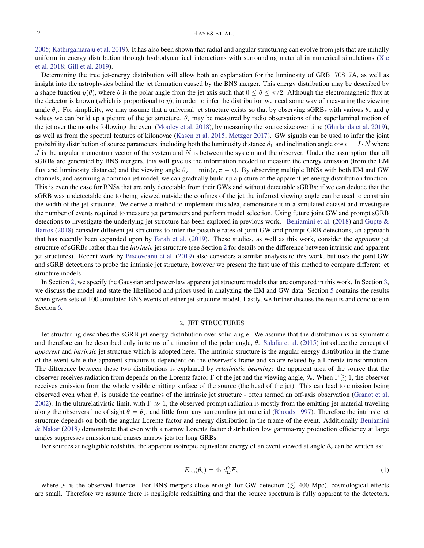# 2 HAYES ET AL.

[2005;](#page-9-6) [Kathirgamaraju et al.](#page-9-7) [2019\)](#page-9-7). It has also been shown that radial and angular structuring can evolve from jets that are initially uniform in energy distribution through hydrodynamical interactions with surrounding material in numerical simulations [\(Xie](#page-10-5) [et al.](#page-10-5) [2018;](#page-10-5) [Gill et al.](#page-9-8) [2019\)](#page-9-8).

Determining the true jet-energy distribution will allow both an explanation for the luminosity of GRB170817A, as well as insight into the astrophysics behind the jet formation caused by the BNS merger. This energy distribution may be described by a shape function  $y(\theta)$ , where  $\theta$  is the polar angle from the jet axis such that  $0 \le \theta \le \pi/2$ . Although the electromagnetic flux at the detector is known (which is proportional to  $y$ ), in order to infer the distribution we need some way of measuring the viewing angle  $\theta_y$ . For simplicity, we may assume that a universal jet structure exists so that by observing sGRBs with various  $\theta_y$  and y values we can build up a picture of the jet structure.  $\theta_{\rm v}$  may be measured by radio observations of the superluminal motion of the jet over the months following the event [\(Mooley et al.](#page-9-9) [2018\)](#page-9-9), by measuring the source size over time [\(Ghirlanda et al.](#page-9-10) [2019\)](#page-9-10), as well as from the spectral features of kilonovae [\(Kasen et al.](#page-9-11) [2015;](#page-9-11) [Metzger](#page-9-12) [2017\)](#page-9-12). GW signals can be used to infer the joint probability distribution of source parameters, including both the luminosity distance  $d_L$  and inclination angle cos  $\iota = \vec{J} \cdot \vec{N}$  where  $\vec{J}$  is the angular momentum vector of the system and  $\vec{N}$  is between the system and the observer. Under the assumption that all sGRBs are generated by BNS mergers, this will give us the information needed to measure the energy emission (from the EM flux and luminosity distance) and the viewing angle  $\theta_y = \min(i, \pi - i)$ . By observing multiple BNSs with both EM and GW channels, and assuming a common jet model, we can gradually build up a picture of the apparent jet energy distribution function. This is even the case for BNSs that are only detectable from their GWs and without detectable sGRBs; if we can deduce that the sGRB was undetectable due to being viewed outside the confines of the jet the inferred viewing angle can be used to constrain the width of the jet structure. We derive a method to implement this idea, demonstrate it in a simulated dataset and investigate the number of events required to measure jet parameters and perform model selection. Using future joint GW and prompt sGRB detections to investigate the underlying jet structure has been explored in previous work. [Beniamini et al.](#page-9-13) [\(2018\)](#page-9-13) and [Gupte &](#page-9-14) [Bartos](#page-9-14) [\(2018\)](#page-9-14) consider different jet structures to infer the possible rates of joint GW and prompt GRB detections, an approach that has recently been expanded upon by [Farah et al.](#page-9-15) [\(2019\)](#page-9-15). These studies, as well as this work, consider the *apparent* jet structure of sGRBs rather than the *intrinsic* jet structure (see Section [2](#page-2-0) for details on the difference between intrinsic and apparent jet structures). Recent work by [Biscoveanu et al.](#page-9-16) [\(2019\)](#page-9-16) also considers a similar analysis to this work, but uses the joint GW and sGRB detections to probe the intrinsic jet structure, however we present the first use of this method to compare different jet structure models.

In Section [2,](#page-2-0) we specify the Gaussian and power-law apparent jet structure models that are compared in this work. In Section [3,](#page-3-0) we discuss the model and state the likelihood and priors used in analyzing the EM and GW data. Section [5](#page-5-0) contains the results when given sets of 100 simulated BNS events of either jet structure model. Lastly, we further discuss the results and conclude in Section [6.](#page-5-1)

## 2. JET STRUCTURES

<span id="page-2-0"></span>Jet structuring describes the sGRB jet energy distribution over solid angle. We assume that the distribution is axisymmetric and therefore can be described only in terms of a function of the polar angle,  $\theta$ . [Salafia et al.](#page-10-6) [\(2015\)](#page-10-6) introduce the concept of *apparent* and *intrinsic* jet structure which is adopted here. The intrinsic structure is the angular energy distribution in the frame of the event while the apparent structure is dependent on the observer's frame and so are related by a Lorentz transformation. The difference between these two distributions is explained by *relativistic beaming*: the apparent area of the source that the observer receives radiation from depends on the Lorentz factor  $\Gamma$  of the jet and the viewing angle,  $\theta_{\rm v}$ . When  $\Gamma \gtrsim 1$ , the observer receives emission from the whole visible emitting surface of the source (the head of the jet). This can lead to emission being observed even when  $\theta_{v}$  is outside the confines of the intrinsic jet structure - often termed an off-axis observation [\(Granot et al.](#page-9-17) [2002\)](#page-9-17). In the ultrarelativistic limit, with  $\Gamma \gg 1$ , the observed prompt radiation is mostly from the emitting jet material traveling along the observers line of sight  $\theta = \theta_v$ , and little from any surrounding jet material [\(Rhoads](#page-10-7) [1997\)](#page-10-7). Therefore the intrinsic jet structure depends on both the angular Lorentz factor and energy distribution in the frame of the event. Additionally [Beniamini](#page-9-18) [& Nakar](#page-9-18) [\(2018\)](#page-9-18) demonstrate that even with a narrow Lorentz factor distribution low gamma-ray production efficiency at large angles suppresses emission and causes narrow jets for long GRBs.

For sources at negligible redshifts, the apparent isotropic equivalent energy of an event viewed at angle  $\theta_{\rm v}$  can be written as:

<span id="page-2-1"></span>
$$
E_{\rm iso}(\theta_{\rm v}) = 4\pi d_{\rm L}^2 \mathcal{F},\tag{1}
$$

where F is the observed fluence. For BNS mergers close enough for GW detection ( $\leq 400$  Mpc), cosmological effects are small. Therefore we assume there is negligible redshifting and that the source spectrum is fully apparent to the detectors,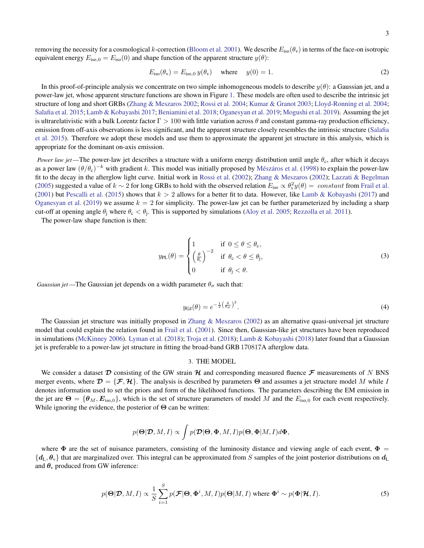removing the necessity for a cosmological k-correction [\(Bloom et al.](#page-9-19) [2001\)](#page-9-19). We describe  $E_{iso}(\theta_v)$  in terms of the face-on isotropic equivalent energy  $E_{\text{iso},0} = E_{\text{iso}}(0)$  and shape function of the apparent structure  $y(\theta)$ :

<span id="page-3-3"></span>
$$
E_{\text{iso}}(\theta_{\text{v}}) = E_{\text{iso},0} y(\theta_{\text{v}}) \quad \text{where} \quad y(0) = 1. \tag{2}
$$

In this proof-of-principle analysis we concentrate on two simple inhomogeneous models to describe  $y(\theta)$ : a Gaussian jet, and a power-law jet, whose apparent structure functions are shown in Figure [1.](#page-4-0) These models are often used to describe the intrinsic jet structure of long and short GRBs [\(Zhang & Meszaros](#page-10-2) [2002;](#page-10-2) [Rossi et al.](#page-10-3) [2004;](#page-10-3) [Kumar & Granot](#page-9-20) [2003;](#page-9-20) [Lloyd-Ronning et al.](#page-9-4) [2004;](#page-9-4) [Salafia et al.](#page-10-6) [2015;](#page-10-6) [Lamb & Kobayashi](#page-9-21) [2017;](#page-9-21) [Beniamini et al.](#page-9-13) [2018;](#page-9-13) [Oganesyan et al.](#page-9-22) [2019;](#page-9-22) [Mogushi et al.](#page-9-23) [2019\)](#page-9-23). Assuming the jet is ultrarelativistic with a bulk Lorentz factor  $\Gamma > 100$  with little variation across  $\theta$  and constant gamma-ray production efficiency, emission from off-axis observations is less significant, and the apparent structure closely resembles the intrinsic structure [\(Salafia](#page-10-6) [et al.](#page-10-6) [2015\)](#page-10-6). Therefore we adopt these models and use them to approximate the apparent jet structure in this analysis, which is appropriate for the dominant on-axis emission.

*Power law jet* —The power-law jet describes a structure with a uniform energy distribution until angle  $\theta_c$ , after which it decays as a power law  $(\theta/\theta_c)^{-k}$  with gradient k. This model was initially proposed by Mészáros et al. [\(1998\)](#page-9-24) to explain the power-law fit to the decay in the afterglow light curve. Initial work in [Rossi et al.](#page-10-1) [\(2002\)](#page-10-1); [Zhang & Meszaros](#page-10-2) [\(2002\)](#page-10-2); [Lazzati & Begelman](#page-9-5) [\(2005\)](#page-9-5) suggested a value of  $k \sim 2$  for long GRBs to hold with the observed relation  $E_{\rm iso} \propto \theta_{\rm v}^2 y(\theta) = constant$  from [Frail et al.](#page-9-25) [\(2001\)](#page-9-25) but [Pescalli et al.](#page-10-8) [\(2015\)](#page-10-8) shows that  $k > 2$  allows for a better fit to data. However, like [Lamb & Kobayashi](#page-9-21) [\(2017\)](#page-9-21) and [Oganesyan et al.](#page-9-22) [\(2019\)](#page-9-22) we assume  $k = 2$  for simplicity. The power-law jet can be further parameterized by including a sharp cut-off at opening angle  $\theta_j$  where  $\theta_c < \theta_j$ . This is supported by simulations [\(Aloy et al.](#page-9-6) [2005;](#page-9-6) [Rezzolla et al.](#page-10-9) [2011\)](#page-10-9).

The power-law shape function is then:

<span id="page-3-2"></span>
$$
y_{\text{PL}}(\theta) = \begin{cases} 1 & \text{if } 0 \le \theta \le \theta_{\text{c}}, \\ \left(\frac{\theta}{\theta_{\text{c}}}\right)^{-2} & \text{if } \theta_{\text{c}} < \theta \le \theta_{\text{j}}, \\ 0 & \text{if } \theta_{\text{j}} < \theta. \end{cases} \tag{3}
$$

*Gaussian jet* —The Gaussian jet depends on a width parameter  $\theta_{\sigma}$  such that:

<span id="page-3-1"></span>
$$
y_{\rm GI}(\theta) = e^{-\frac{1}{2}\left(\frac{\theta}{\theta\sigma}\right)^2}.\tag{4}
$$

The Gaussian jet structure was initially proposed in [Zhang & Meszaros](#page-10-2) [\(2002\)](#page-10-2) as an alternative quasi-universal jet structure model that could explain the relation found in [Frail et al.](#page-9-25) [\(2001\)](#page-9-25). Since then, Gaussian-like jet structures have been reproduced in simulations [\(McKinney](#page-9-26) [2006\)](#page-9-26). [Lyman et al.](#page-9-27) [\(2018\)](#page-9-27); [Troja et al.](#page-10-10) [\(2018\)](#page-10-10); [Lamb & Kobayashi](#page-9-28) [\(2018\)](#page-9-28) later found that a Gaussian jet is preferable to a power-law jet structure in fitting the broad-band GRB170817A afterglow data.

## 3. THE MODEL

<span id="page-3-0"></span>We consider a dataset  $D$  consisting of the GW strain  $H$  and corresponding measured fluence  $F$  measurements of N BNS merger events, where  $\mathcal{D} = \{\mathcal{F}, \mathcal{H}\}\.$  The analysis is described by parameters  $\Theta$  and assumes a jet structure model M while I denotes information used to set the priors and form of the likelihood functions. The parameters describing the EM emission in the jet are  $\Theta = {\theta_M, E_{\text{iso},0}}$ , which is the set of structure parameters of model M and the  $E_{\text{iso},0}$  for each event respectively. While ignoring the evidence, the posterior of  $\Theta$  can be written:

$$
p(\mathbf{\Theta}|\mathcal{D}, M, I) \propto \int p(\mathbf{\mathcal{D}}|\mathbf{\Theta}, \mathbf{\Phi}, M, I)p(\mathbf{\Theta}, \mathbf{\Phi}|M, I)d\mathbf{\Phi},
$$

where  $\Phi$  are the set of nuisance parameters, consisting of the luminosity distance and viewing angle of each event,  $\Phi$  =  ${d_L, \theta_{\rm v}}$  that are marginalized over. This integral can be approximated from S samples of the joint posterior distributions on  $d_L$ and  $\theta_{v}$  produced from GW inference:

<span id="page-3-4"></span>
$$
p(\mathbf{\Theta}|\mathbf{\mathcal{D}}, M, I) \propto \frac{1}{S} \sum_{i=1}^{S} p(\mathbf{\mathcal{F}}|\mathbf{\Theta}, \mathbf{\Phi}^{i}, M, I) p(\mathbf{\Theta}|M, I) \text{ where } \mathbf{\Phi}^{i} \sim p(\mathbf{\Phi}|\mathbf{\mathcal{H}}, I). \tag{5}
$$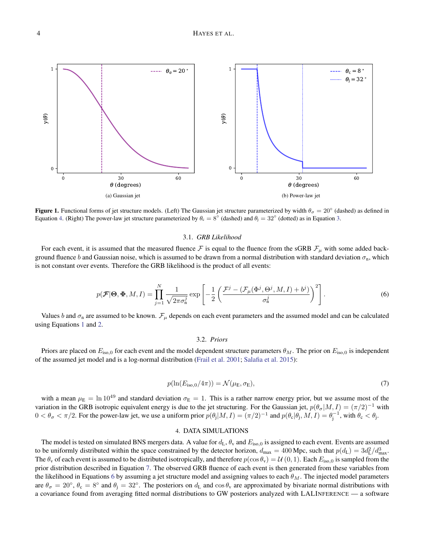

<span id="page-4-0"></span>Figure 1. Functional forms of jet structure models. (Left) The Gaussian jet structure parameterized by width  $\theta_{\sigma} = 20^{\circ}$  (dashed) as defined in Equation [4.](#page-3-1) (Right) The power-law jet structure parameterized by  $\theta_c = 8^\circ$  (dashed) and  $\theta_j = 32^\circ$  (dotted) as in Equation [3.](#page-3-2)

#### 3.1. *GRB Likelihood*

For each event, it is assumed that the measured fluence F is equal to the fluence from the sGRB  $\mathcal{F}_{\mu}$  with some added background fluence b and Gaussian noise, which is assumed to be drawn from a normal distribution with standard deviation  $\sigma_n$ , which is not constant over events. Therefore the GRB likelihood is the product of all events:

<span id="page-4-2"></span>
$$
p(\mathcal{F}|\Theta,\Phi,M,I) = \prod_{j=1}^{N} \frac{1}{\sqrt{2\pi\sigma_n^j}} \exp\left[-\frac{1}{2}\left(\frac{\mathcal{F}^j - (\mathcal{F}_\mu(\Phi^j,\Theta^j,M,I) + b^j)}{\sigma_n^j}\right)^2\right].
$$
 (6)

Values b and  $\sigma_n$  are assumed to be known.  $\mathcal{F}_\mu$  depends on each event parameters and the assumed model and can be calculated using Equations [1](#page-2-1) and [2.](#page-3-3)

## 3.2. *Priors*

Priors are placed on  $E_{\text{iso},0}$  for each event and the model dependent structure parameters  $\theta_M$ . The prior on  $E_{\text{iso},0}$  is independent of the assumed jet model and is a log-normal distribution [\(Frail et al.](#page-9-25) [2001;](#page-9-25) [Salafia et al.](#page-10-6) [2015\)](#page-10-6):

<span id="page-4-1"></span>
$$
p(\ln(E_{\text{iso},0}/4\pi)) = \mathcal{N}(\mu_{\text{E}}, \sigma_{\text{E}}),\tag{7}
$$

with a mean  $\mu_E = \ln 10^{49}$  and standard deviation  $\sigma_E = 1$ . This is a rather narrow energy prior, but we assume most of the variation in the GRB isotropic equivalent energy is due to the jet structuring. For the Gaussian jet,  $p(\theta_{\sigma}|M, I) = (\pi/2)^{-1}$  with  $0 < \theta_{\sigma} < \pi/2$ . For the power-law jet, we use a uniform prior  $p(\theta_j|M,I) = (\pi/2)^{-1}$  and  $p(\theta_c|\theta_j,M,I) = \theta_j^{-1}$ , with  $\theta_c < \theta_j$ .

# 4. DATA SIMULATIONS

<span id="page-4-3"></span>The model is tested on simulated BNS mergers data. A value for  $d_L$ ,  $\theta_v$  and  $E_{iso,0}$  is assigned to each event. Events are assumed to be uniformly distributed within the space constrained by the detector horizon,  $d_{\text{max}} = 400 \text{ Mpc}$ , such that  $p(d_{\text{L}}) = 3d_{\text{L}}^2/d_{\text{max}}^3$ . The  $\theta_v$  of each event is assumed to be distributed isotropically, and therefore  $p(\cos \theta_v) = U(0, 1)$ . Each  $E_{\text{iso},0}$  is sampled from the prior distribution described in Equation [7.](#page-4-1) The observed GRB fluence of each event is then generated from these variables from the likelihood in Equations [6](#page-4-2) by assuming a jet structure model and assigning values to each  $\theta_M$ . The injected model parameters are  $\theta_{\sigma} = 20^{\circ}$ ,  $\theta_c = 8^{\circ}$  and  $\theta_j = 32^{\circ}$ . The posteriors on  $d_L$  and  $\cos \theta_v$  are approximated by bivariate normal distributions with a covariance found from averaging fitted normal distributions to GW posteriors analyzed with LALINFERENCE — a software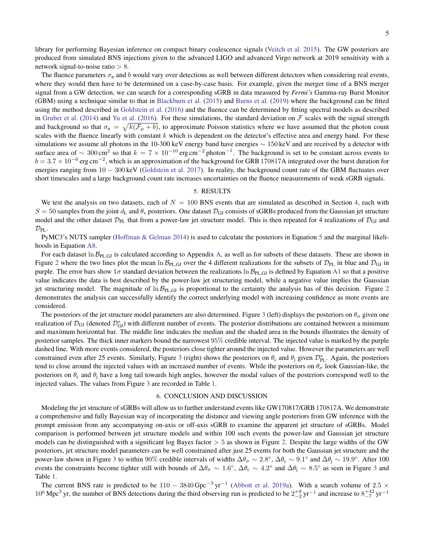library for performing Bayesian inference on compact binary coalescence signals [\(Veitch et al.](#page-10-11) [2015\)](#page-10-11). The GW posteriors are produced from simulated BNS injections given to the advanced LIGO and advanced Virgo network at 2019 sensitivity with a network signal-to-noise ratio  $> 8$ .

The fluence parameters  $\sigma_n$  and b would vary over detections as well between different detectors when considering real events, where they would then have to be determined on a case-by-case basis. For example, given the merger time of a BNS merger signal from a GW detection, we can search for a corresponding sGRB in data measured by *Fermi's* Gamma-ray Burst Monitor (GBM) using a technique similar to that in [Blackburn et al.](#page-9-29) [\(2015\)](#page-9-29) and [Burns et al.](#page-9-30) [\(2019\)](#page-9-30) where the background can be fitted using the method described in [Goldstein et al.](#page-9-31) [\(2016\)](#page-9-31) and the fluence can be determined by fitting spectral models as described in [Gruber et al.](#page-9-32) [\(2014\)](#page-9-32) and [Yu et al.](#page-10-12) [\(2016\)](#page-10-12). For these simulations, the standard deviation on  $\mathcal F$  scales with the signal strength and background so that  $\sigma_n = \sqrt{k(\mathcal{F}_\mu + b)}$ , to approximate Poisson statistics where we have assumed that the photon count scales with the fluence linearly with constant  $k$  which is dependent on the detector's effective area and energy band. For these simulations we assume all photons in the 10-300 keV energy band have energies  $\sim 150 \,\text{keV}$  and are received by a detector with surface area of  $\sim 300 \text{ cm}^2$  so that  $k = 7 \times 10^{-10} \text{ erg cm}^{-2}$  photon<sup>-1</sup>. The background is set to be constant across events to  $b = 3.7 \times 10^{-6}$  erg cm<sup>-2</sup>, which is an approximation of the background for GRB 170817A integrated over the burst duration for energies ranging from 10 − 300 keV [\(Goldstein et al.](#page-9-1) [2017\)](#page-9-1). In reality, the background count rate of the GBM fluctuates over short timescales and a large background count rate increases uncertainties on the fluence measurements of weak sGRB signals.

## 5. RESULTS

<span id="page-5-0"></span>We test the analysis on two datasets, each of  $N = 100$  BNS events that are simulated as described in Section [4,](#page-4-3) each with  $S = 50$  samples from the joint  $d_L$  and  $\theta_v$  posteriors. One dataset  $\mathcal{D}_{GI}$  consists of sGRBs produced from the Gaussian jet structure model and the other dataset  $\mathcal{D}_{PL}$  that from a power-law jet structure model. This is then repeated for 4 realizations of  $\mathcal{D}_{GI}$  and  $\mathcal{D}_{\text{PL}}$ .

PyMC3's NUTS sampler [\(Hoffman & Gelman](#page-9-33) [2014\)](#page-9-33) is used to calculate the posteriors in Equation [5](#page-3-4) and the marginal likelihoods in Equation [A8.](#page-8-0)

For each dataset ln  $\mathcal{B}_{PL,GI}$  is calculated according to Appendix [A,](#page-8-1) as well as for subsets of these datasets. These are shown in Figure [2](#page-6-0) where the two lines plot the mean  $\ln B_{\text{PL,GJ}}$  over the 4 different realizations for the subsets of  $\mathcal{D}_{\text{PL}}$  in blue and  $\mathcal{D}_{\text{GJ}}$  in purple. The error bars show  $1\sigma$  standard deviation between the realizations  $\ln \mathcal{B}_{PL,GJ}$  is defined by Equation [A1](#page-8-2) so that a positive value indicates the data is best described by the power-law jet structuring model, while a negative value implies the Gaussian jet structuring model. The magnitude of  $\ln \mathcal{B}_{\text{PL,GJ}}$  is proportional to the certainty the analysis has of this decision. Figure [2](#page-6-0) demonstrates the analysis can successfully identify the correct underlying model with increasing confidence as more events are considered.

The posteriors of the jet structure model parameters are also determined. Figure [3](#page-6-1) (left) displays the posteriors on  $\theta_{\sigma}$  given one realization of  $\mathcal{D}_{GI}$  (denoted  $\mathcal{D}_{GI}^*$ ) with different number of events. The posterior distributions are contained between a minimum and maximum horizontal bar. The middle line indicates the median and the shaded area in the bounds illustrates the density of posterior samples. The thick inner markers bound the narrowest 95% credible interval. The injected value is marked by the purple dashed line. With more events considered, the posteriors close tighter around the injected value. However the parameters are well constrained even after 25 events. Similarly, Figure [3](#page-6-1) (right) shows the posteriors on  $\theta_c$  and  $\theta_j$  given  $\mathcal{D}_{PL}^*$ . Again, the posteriors tend to close around the injected values with an increased number of events. While the posteriors on  $\theta_{\sigma}$  look Gaussian-like, the posteriors on  $\theta_c$  and  $\theta_i$  have a long tail towards high angles, however the modal values of the posteriors correspond well to the injected values. The values from Figure [3](#page-6-1) are recorded in Table [1.](#page-8-3)

### 6. CONCLUSION AND DISCUSSION

<span id="page-5-1"></span>Modeling the jet structure of sGRBs will allow us to further understand events like GW170817/GRB 170817A. We demonstrate a comprehensive and fully Bayesian way of incorporating the distance and viewing angle posteriors from GW inference with the prompt emission from any accompanying on-axis or off-axis sGRB to examine the apparent jet structure of sGRBs. Model comparison is performed between jet structure models and within 100 such events the power-law and Gaussian jet structure models can be distinguished with a significant log Bayes factor  $> 5$  as shown in Figure [2.](#page-6-0) Despite the large widths of the GW posteriors, jet structure model parameters can be well constrained after just 25 events for both the Gaussian jet structure and the power-law shown in Figure [3](#page-6-1) to within 90% credible intervals of widths  $\Delta\theta_\sigma \sim 2.8^\circ$ ,  $\Delta\theta_c \sim 9.1^\circ$  and  $\Delta\theta_j \sim 19.9^\circ$ . After 100 events the constraints become tighter still with bounds of  $\Delta\theta_{\sigma} \sim 1.6^{\circ}$ ,  $\Delta\theta_{\rm c} \sim 4.2^{\circ}$  and  $\Delta\theta_{\rm j} \sim 8.5^{\circ}$  as seen in Figure [3](#page-6-1) and Table [1.](#page-8-3)

The current BNS rate is predicted to be  $110-3840 \text{ Gpc}^{-3} \text{ yr}^{-1}$  [\(Abbott et al.](#page-9-34) [2019a\)](#page-9-34). With a search volume of 2.5  $\times$  $10^6$  Mpc<sup>3</sup> yr, the number of BNS detections during the third observing run is predicted to be  $2^{+8}_{-2}$  yr<sup>-1</sup> and increase to  $8^{+42}_{-7}$  yr<sup>-1</sup>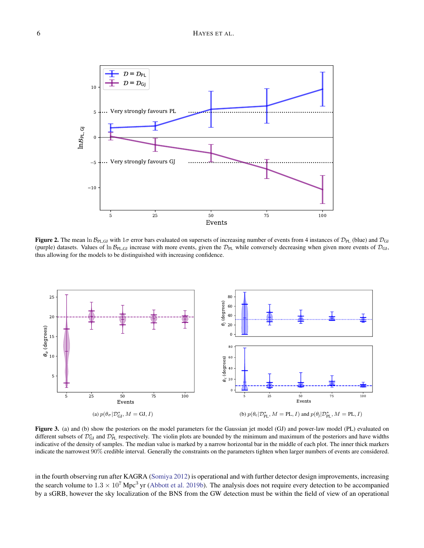# 6 HAYES ET AL.



<span id="page-6-0"></span>Figure 2. The mean ln  $\mathcal{B}_{PL,GJ}$  with 1 $\sigma$  error bars evaluated on supersets of increasing number of events from 4 instances of  $\mathcal{D}_{PL}$  (blue) and  $\mathcal{D}_{GI}$ (purple) datasets. Values of  $\ln B_{\text{PL,GJ}}$  increase with more events, given the  $\mathcal{D}_{\text{PL}}$  while conversely decreasing when given more events of  $\mathcal{D}_{\text{GI}}$ , thus allowing for the models to be distinguished with increasing confidence.



<span id="page-6-1"></span>Figure 3. (a) and (b) show the posteriors on the model parameters for the Gaussian jet model (GJ) and power-law model (PL) evaluated on different subsets of  $\mathcal{D}_{GI}^*$  and  $\mathcal{D}_{PL}^*$  respectively. The violin plots are bounded by the minimum and maximum of the posteriors and have widths indicative of the density of samples. The median value is marked by a narrow horizontal bar in the middle of each plot. The inner thick markers indicate the narrowest 90% credible interval. Generally the constraints on the parameters tighten when larger numbers of events are considered.

in the fourth observing run after KAGRA [\(Somiya](#page-10-13) [2012\)](#page-10-13) is operational and with further detector design improvements, increasing the search volume to  $1.3 \times 10^7$  Mpc<sup>3</sup> yr [\(Abbott et al.](#page-9-35) [2019b\)](#page-9-35). The analysis does not require every detection to be accompanied by a sGRB, however the sky localization of the BNS from the GW detection must be within the field of view of an operational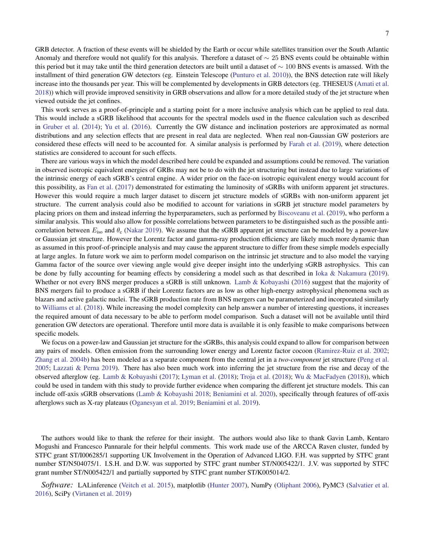GRB detector. A fraction of these events will be shielded by the Earth or occur while satellites transition over the South Atlantic Anomaly and therefore would not qualify for this analysis. Therefore a dataset of  $\sim$  25 BNS events could be obtainable within this period but it may take until the third generation detectors are built until a dataset of  $\sim 100$  BNS events is amassed. With the installment of third generation GW detectors (eg. Einstein Telescope [\(Punturo et al.](#page-10-14) [2010\)](#page-10-14)), the BNS detection rate will likely increase into the thousands per year. This will be complemented by developments in GRB detectors (eg. THESEUS [\(Amati et al.](#page-9-36) [2018\)](#page-9-36)) which will provide improved sensitivity in GRB observations and allow for a more detailed study of the jet structure when viewed outside the jet confines.

This work serves as a proof-of-principle and a starting point for a more inclusive analysis which can be applied to real data. This would include a sGRB likelihood that accounts for the spectral models used in the fluence calculation such as described in [Gruber et al.](#page-9-32) [\(2014\)](#page-9-32); [Yu et al.](#page-10-12) [\(2016\)](#page-10-12). Currently the GW distance and inclination posteriors are approximated as normal distributions and any selection effects that are present in real data are neglected. When real non-Gaussian GW posteriors are considered these effects will need to be accounted for. A similar analysis is performed by [Farah et al.](#page-9-15) [\(2019\)](#page-9-15), where detection statistics are considered to account for such effects.

There are various ways in which the model described here could be expanded and assumptions could be removed. The variation in observed isotropic equivalent energies of GRBs may not be to do with the jet structuring but instead due to large variations of the intrinsic energy of each sGRB's central engine. A wider prior on the face-on isotropic equivalent energy would account for this possibility, as [Fan et al.](#page-9-37) [\(2017\)](#page-9-37) demonstrated for estimating the luminosity of sGRBs with uniform apparent jet structures. However this would require a much larger dataset to discern jet structure models of sGRBs with non-uniform apparent jet structure. The current analysis could also be modified to account for variations in sGRB jet structure model parameters by placing priors on them and instead inferring the hyperparameters, such as performed by [Biscoveanu et al.](#page-9-16) [\(2019\)](#page-9-16), who perform a similar analysis. This would also allow for possible correlations between parameters to be distinguished such as the possible anticorrelation between  $E_{\text{iso}}$  and  $\theta_{\text{c}}$  [\(Nakar](#page-9-38) [2019\)](#page-9-38). We assume that the sGRB apparent jet structure can be modeled by a power-law or Gaussian jet structure. However the Lorentz factor and gamma-ray production efficiency are likely much more dynamic than as assumed in this proof-of-principle analysis and may cause the apparent structure to differ from these simple models especially at large angles. In future work we aim to perform model comparison on the intrinsic jet structure and to also model the varying Gamma factor of the source over viewing angle would give deeper insight into the underlying sGRB astrophysics. This can be done by fully accounting for beaming effects by considering a model such as that described in [Ioka & Nakamura](#page-9-39) [\(2019\)](#page-9-39). Whether or not every BNS merger produces a sGRB is still unknown. [Lamb & Kobayashi](#page-9-40) [\(2016\)](#page-9-40) suggest that the majority of BNS mergers fail to produce a sGRB if their Lorentz factors are as low as other high-energy astrophysical phenomena such as blazars and active galactic nuclei. The sGRB production rate from BNS mergers can be parameterized and incorporated similarly to [Williams et al.](#page-10-15) [\(2018\)](#page-10-15). While increasing the model complexity can help answer a number of interesting questions, it increases the required amount of data necessary to be able to perform model comparison. Such a dataset will not be available until third generation GW detectors are operational. Therefore until more data is available it is only feasible to make comparisons between specific models.

We focus on a power-law and Gaussian jet structure for the sGRBs, this analysis could expand to allow for comparison between any pairs of models. Often emission from the surrounding lower energy and Lorentz factor cocoon [\(Ramirez-Ruiz et al.](#page-10-16) [2002;](#page-10-16) [Zhang et al.](#page-10-17) [2004b\)](#page-10-17) has been modeled as a separate component from the central jet in a *two-component* jet structure [\(Peng et al.](#page-10-18) [2005;](#page-10-18) [Lazzati & Perna](#page-9-41) [2019\)](#page-9-41). There has also been much work into inferring the jet structure from the rise and decay of the observed afterglow (eg. [Lamb & Kobayashi](#page-9-21) [\(2017\)](#page-9-21); [Lyman et al.](#page-9-27) [\(2018\)](#page-9-27); [Troja et al.](#page-10-10) [\(2018\)](#page-10-10); [Wu & MacFadyen](#page-10-19) [\(2018\)](#page-10-19)), which could be used in tandem with this study to provide further evidence when comparing the different jet structure models. This can include off-axis sGRB observations [\(Lamb & Kobayashi](#page-9-28) [2018;](#page-9-28) [Beniamini et al.](#page-9-42) [2020\)](#page-9-42), specifically through features of off-axis afterglows such as X-ray plateaus [\(Oganesyan et al.](#page-9-22) [2019;](#page-9-22) [Beniamini et al.](#page-9-43) [2019\)](#page-9-43).

The authors would like to thank the referee for their insight. The authors would also like to thank Gavin Lamb, Kentaro Mogushi and Francesco Pannarale for their helpful comments. This work made use of the ARCCA Raven cluster, funded by STFC grant ST/I006285/1 supporting UK Involvement in the Operation of Advanced LIGO. F.H. was supprted by STFC grant number ST/N504075/1. I.S.H. and D.W. was supported by STFC grant number ST/N005422/1. J.V. was supported by STFC grant number ST/N005422/1 and partially supported by STFC grant number ST/K005014/2.

*Software:* LALinference [\(Veitch et al.](#page-10-11) [2015\)](#page-10-11), matplotlib [\(Hunter](#page-9-44) [2007\)](#page-9-44), NumPy [\(Oliphant](#page-10-20) [2006\)](#page-10-20), PyMC3 [\(Salvatier et al.](#page-10-21) [2016\)](#page-10-21), SciPy [\(Virtanen et al.](#page-10-22) [2019\)](#page-10-22)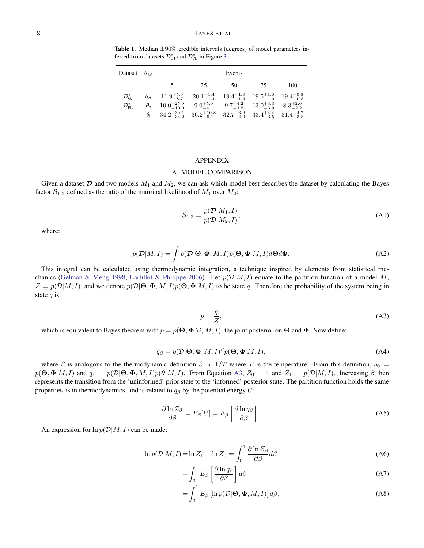<span id="page-8-3"></span>Table 1. Median  $\pm 90\%$  credible intervals (degrees) of model parameters inferred from datasets  $\mathcal{D}_{GI}^*$  and  $\mathcal{D}_{PL}^*$  in Figure [3.](#page-6-1)

| Dataset                     | $\theta_M$        |                        |                       | Events                                    |                                           |                      |
|-----------------------------|-------------------|------------------------|-----------------------|-------------------------------------------|-------------------------------------------|----------------------|
|                             |                   |                        | 25                    | 50                                        | 75                                        | 100                  |
| $\mathcal{D}^*_\mathrm{GI}$ | $\theta_{\sigma}$ | $11.9^{+5.0}_{-8.7}$   | $20.1^{+1.4}_{-1.4}$  |                                           | $19.4^{+1.3}_{-1.4}$ $19.5^{+1.0}_{-1.0}$ | $19.4^{+0.8}_{-0.8}$ |
| $\mathcal{D}_{\rm PL}^*$    | $\theta_c$        | $10.0^{+25.9}_{-10.0}$ | $9.0^{+5.0}_{-4.1}$   | $9.7^{+4.2}_{-3.5}$                       | $13.0^{+3.3}_{-3.9}$ $8.3^{+2.0}_{-2.2}$  |                      |
|                             | $\theta_i$        | $34.2^{+30.1}_{-34.2}$ | $36.2^{+10.8}_{-9.1}$ | $32.7^{+6.2}_{-4.9}$ $33.4^{+4.4}_{-3.5}$ |                                           | $31.4^{+4.7}_{-3.8}$ |

#### APPENDIX

## A. MODEL COMPARISON

<span id="page-8-1"></span>Given a dataset  $\mathcal D$  and two models  $M_1$  and  $M_2$ , we can ask which model best describes the dataset by calculating the Bayes factor  $\mathcal{B}_{1,2}$  defined as the ratio of the marginal likelihood of  $M_1$  over  $M_2$ :

<span id="page-8-2"></span>
$$
\mathcal{B}_{1,2} = \frac{p(\mathcal{D}|M_1, I)}{p(\mathcal{D}|M_2, I)},
$$
\n(A1)

where:

$$
p(\mathcal{D}|M,I) = \int p(\mathcal{D}|\Theta, \Phi, M, I)p(\Theta, \Phi|M, I)d\Theta d\Phi.
$$
 (A2)

This integral can be calculated using thermodynamic integration, a technique inspired by elements from statistical me-chanics [\(Gelman & Meng](#page-9-45) [1998;](#page-9-45) [Lartillot & Philippe](#page-9-46) [2006\)](#page-9-46). Let  $p(\mathcal{D}|M, I)$  equate to the partition function of a model M,  $Z = p(\mathcal{D}|M, I)$ , and we denote  $p(\mathcal{D}|\Theta, \Phi, M, I)p(\Theta, \Phi|M, I)$  to be state q. Therefore the probability of the system being in state  $q$  is:

<span id="page-8-4"></span>
$$
p = \frac{q}{Z},\tag{A3}
$$

which is equivalent to Bayes theorem with  $p = p(\Theta, \Phi | \mathcal{D}, M, I)$ , the joint posterior on  $\Theta$  and  $\Phi$ . Now define:

<span id="page-8-5"></span>
$$
q_{\beta} = p(\mathcal{D}|\Theta, \Phi, M, I)^{\beta} p(\Theta, \Phi|M, I),
$$
\n(A4)

where  $\beta$  is analogous to the thermodynamic definition  $\beta \propto 1/T$  where T is the temperature. From this definition,  $q_0 =$  $p(\Theta, \Phi|M, I)$  and  $q_1 = p(\mathcal{D}|\Theta, \Phi, M, I)p(\theta|M, I)$ . From Equation [A3,](#page-8-4)  $Z_0 = 1$  and  $Z_1 = p(\mathcal{D}|M, I)$ . Increasing  $\beta$  then represents the transition from the 'uninformed' prior state to the 'informed' posterior state. The partition function holds the same properties as in thermodynamics, and is related to  $q<sub>\beta</sub>$  by the potential energy U:

$$
\frac{\partial \ln Z_{\beta}}{\partial \beta} = E_{\beta}[U] = E_{\beta} \left[ \frac{\partial \ln q_{\beta}}{\partial \beta} \right]. \tag{A5}
$$

An expression for  $\ln p(\mathcal{D}|M, I)$  can be made:

<span id="page-8-0"></span>
$$
\ln p(\mathcal{D}|M, I) = \ln Z_1 - \ln Z_0 = \int_0^1 \frac{\partial \ln Z_\beta}{\partial \beta} d\beta \tag{A6}
$$

$$
=\int_0^1 E_\beta \left[\frac{\partial \ln q_\beta}{\partial \beta}\right] d\beta \tag{A7}
$$

$$
= \int_0^1 E_\beta \left[ \ln p(\mathcal{D}|\Theta, \Phi, M, I) \right] d\beta,
$$
 (A8)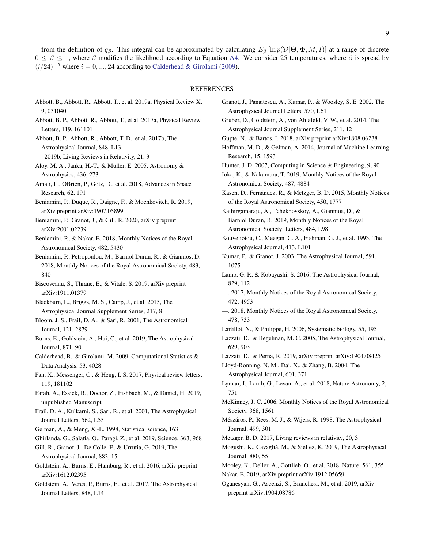### REFERENCES

- <span id="page-9-34"></span>Abbott, B., Abbott, R., Abbott, T., et al. 2019a, Physical Review X, 9, 031040
- <span id="page-9-2"></span>Abbott, B. P., Abbott, R., Abbott, T., et al. 2017a, Physical Review Letters, 119, 161101
- <span id="page-9-3"></span>Abbott, B. P., Abbott, R., Abbott, T. D., et al. 2017b, The Astrophysical Journal, 848, L13
- <span id="page-9-35"></span>—. 2019b, Living Reviews in Relativity, 21, 3
- <span id="page-9-6"></span>Aloy, M. A., Janka, H.-T., & Müller, E. 2005, Astronomy & Astrophysics, 436, 273
- <span id="page-9-36"></span>Amati, L., OBrien, P., Götz, D., et al. 2018, Advances in Space Research, 62, 191
- <span id="page-9-43"></span>Beniamini, P., Duque, R., Daigne, F., & Mochkovitch, R. 2019, arXiv preprint arXiv:1907.05899
- <span id="page-9-42"></span>Beniamini, P., Granot, J., & Gill, R. 2020, arXiv preprint arXiv:2001.02239
- <span id="page-9-18"></span>Beniamini, P., & Nakar, E. 2018, Monthly Notices of the Royal Astronomical Society, 482, 5430
- <span id="page-9-13"></span>Beniamini, P., Petropoulou, M., Barniol Duran, R., & Giannios, D. 2018, Monthly Notices of the Royal Astronomical Society, 483, 840
- <span id="page-9-16"></span>Biscoveanu, S., Thrane, E., & Vitale, S. 2019, arXiv preprint arXiv:1911.01379
- <span id="page-9-29"></span>Blackburn, L., Briggs, M. S., Camp, J., et al. 2015, The Astrophysical Journal Supplement Series, 217, 8
- <span id="page-9-19"></span>Bloom, J. S., Frail, D. A., & Sari, R. 2001, The Astronomical Journal, 121, 2879
- <span id="page-9-30"></span>Burns, E., Goldstein, A., Hui, C., et al. 2019, The Astrophysical Journal, 871, 90
- <span id="page-9-47"></span>Calderhead, B., & Girolami, M. 2009, Computational Statistics & Data Analysis, 53, 4028
- <span id="page-9-37"></span>Fan, X., Messenger, C., & Heng, I. S. 2017, Physical review letters, 119, 181102
- <span id="page-9-15"></span>Farah, A., Essick, R., Doctor, Z., Fishbach, M., & Daniel, H. 2019, unpublished Manuscript
- <span id="page-9-25"></span>Frail, D. A., Kulkarni, S., Sari, R., et al. 2001, The Astrophysical Journal Letters, 562, L55
- <span id="page-9-45"></span>Gelman, A., & Meng, X.-L. 1998, Statistical science, 163
- <span id="page-9-10"></span>Ghirlanda, G., Salafia, O., Paragi, Z., et al. 2019, Science, 363, 968
- <span id="page-9-8"></span>Gill, R., Granot, J., De Colle, F., & Urrutia, G. 2019, The Astrophysical Journal, 883, 15
- <span id="page-9-31"></span>Goldstein, A., Burns, E., Hamburg, R., et al. 2016, arXiv preprint arXiv:1612.02395
- <span id="page-9-1"></span>Goldstein, A., Veres, P., Burns, E., et al. 2017, The Astrophysical Journal Letters, 848, L14
- <span id="page-9-44"></span><span id="page-9-40"></span><span id="page-9-39"></span><span id="page-9-33"></span><span id="page-9-32"></span><span id="page-9-20"></span><span id="page-9-17"></span><span id="page-9-14"></span><span id="page-9-11"></span><span id="page-9-7"></span><span id="page-9-0"></span>Granot, J., Panaitescu, A., Kumar, P., & Woosley, S. E. 2002, The Astrophysical Journal Letters, 570, L61 Gruber, D., Goldstein, A., von Ahlefeld, V. W., et al. 2014, The Astrophysical Journal Supplement Series, 211, 12 Gupte, N., & Bartos, I. 2018, arXiv preprint arXiv:1808.06238 Hoffman, M. D., & Gelman, A. 2014, Journal of Machine Learning Research, 15, 1593 Hunter, J. D. 2007, Computing in Science & Engineering, 9, 90 Ioka, K., & Nakamura, T. 2019, Monthly Notices of the Royal Astronomical Society, 487, 4884 Kasen, D., Fernández, R., & Metzger, B. D. 2015, Monthly Notices of the Royal Astronomical Society, 450, 1777 Kathirgamaraju, A., Tchekhovskoy, A., Giannios, D., & Barniol Duran, R. 2019, Monthly Notices of the Royal Astronomical Society: Letters, 484, L98 Kouveliotou, C., Meegan, C. A., Fishman, G. J., et al. 1993, The Astrophysical Journal, 413, L101 Kumar, P., & Granot, J. 2003, The Astrophysical Journal, 591, 1075 Lamb, G. P., & Kobayashi, S. 2016, The Astrophysical Journal, 829, 112 —. 2017, Monthly Notices of the Royal Astronomical Society, 472, 4953 —. 2018, Monthly Notices of the Royal Astronomical Society, 478, 733 Lartillot, N., & Philippe, H. 2006, Systematic biology, 55, 195 Lazzati, D., & Begelman, M. C. 2005, The Astrophysical Journal, 629, 903 Lazzati, D., & Perna, R. 2019, arXiv preprint arXiv:1904.08425 Lloyd-Ronning, N. M., Dai, X., & Zhang, B. 2004, The Astrophysical Journal, 601, 371 Lyman, J., Lamb, G., Levan, A., et al. 2018, Nature Astronomy, 2, 751 McKinney, J. C. 2006, Monthly Notices of the Royal Astronomical Society, 368, 1561 Mészáros, P., Rees, M. J., & Wijers, R. 1998, The Astrophysical Journal, 499, 301 Metzger, B. D. 2017, Living reviews in relativity, 20, 3 Mogushi, K., Cavaglia, M., & Siellez, K. 2019, The Astrophysical ` Journal, 880, 55
- <span id="page-9-46"></span><span id="page-9-41"></span><span id="page-9-38"></span><span id="page-9-28"></span><span id="page-9-27"></span><span id="page-9-26"></span><span id="page-9-24"></span><span id="page-9-23"></span><span id="page-9-21"></span><span id="page-9-12"></span><span id="page-9-9"></span><span id="page-9-5"></span><span id="page-9-4"></span>Mooley, K., Deller, A., Gottlieb, O., et al. 2018, Nature, 561, 355 Nakar, E. 2019, arXiv preprint arXiv:1912.05659
- <span id="page-9-22"></span>Oganesyan, G., Ascenzi, S., Branchesi, M., et al. 2019, arXiv preprint arXiv:1904.08786